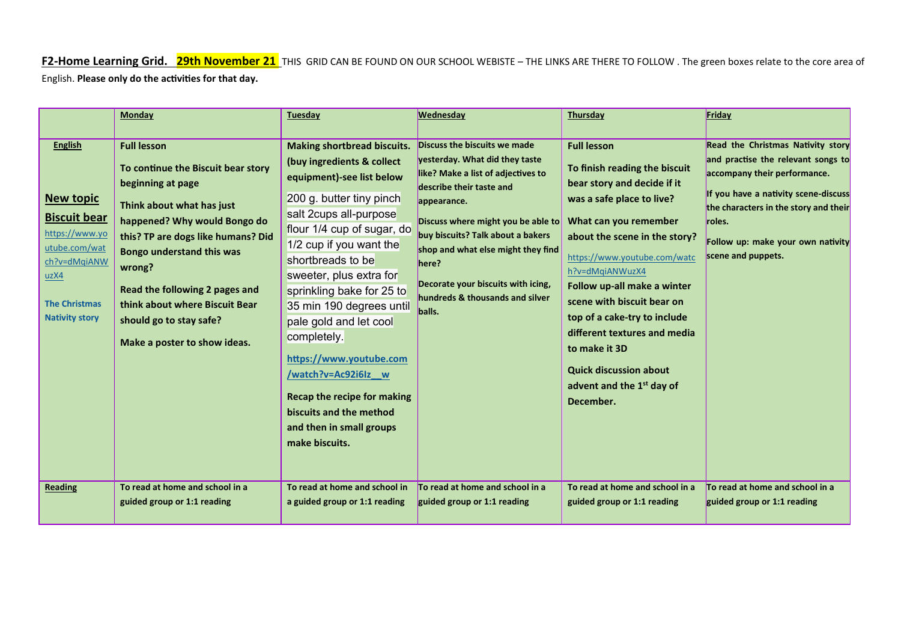## **F2-Home Learning Grid. 29th November 21** THIS GRID CAN BE FOUND ON OUR SCHOOL WEBISTE – THE LINKS ARE THERE TO FOLLOW . The green boxes relate to the core area of English. **Please only do the activities for that day.**

|                                                                                                                                                                                         | Monday                                                                                                                                                                                                                                                                                                                                                                                           | Tuesday                                                                                                                                                                                                                                                                                                                                                                                                                                                                                                                                                          | <b>Wednesday</b>                                                                                                                                                                                                                                                                                                                                                                                | <b>Thursday</b>                                                                                                                                                                                                                                                                                                                                                                                                                                                                                      | Friday                                                                                                                                                                                                                                                                                           |
|-----------------------------------------------------------------------------------------------------------------------------------------------------------------------------------------|--------------------------------------------------------------------------------------------------------------------------------------------------------------------------------------------------------------------------------------------------------------------------------------------------------------------------------------------------------------------------------------------------|------------------------------------------------------------------------------------------------------------------------------------------------------------------------------------------------------------------------------------------------------------------------------------------------------------------------------------------------------------------------------------------------------------------------------------------------------------------------------------------------------------------------------------------------------------------|-------------------------------------------------------------------------------------------------------------------------------------------------------------------------------------------------------------------------------------------------------------------------------------------------------------------------------------------------------------------------------------------------|------------------------------------------------------------------------------------------------------------------------------------------------------------------------------------------------------------------------------------------------------------------------------------------------------------------------------------------------------------------------------------------------------------------------------------------------------------------------------------------------------|--------------------------------------------------------------------------------------------------------------------------------------------------------------------------------------------------------------------------------------------------------------------------------------------------|
| <b>English</b><br><b>New topic</b><br><b>Biscuit bear</b><br>https://www.yo<br>utube.com/wat<br>ch?v=dMgiANW<br>uzX4<br><b>The Christmas</b><br><b>Nativity story</b><br><b>Reading</b> | <b>Full lesson</b><br>To continue the Biscuit bear story<br>beginning at page<br>Think about what has just<br>happened? Why would Bongo do<br>this? TP are dogs like humans? Did<br><b>Bongo understand this was</b><br>wrong?<br>Read the following 2 pages and<br>think about where Biscuit Bear<br>should go to stay safe?<br>Make a poster to show ideas.<br>To read at home and school in a | <b>Making shortbread biscuits.</b><br>(buy ingredients & collect<br>equipment)-see list below<br>200 g. butter tiny pinch<br>salt 2cups all-purpose<br>flour 1/4 cup of sugar, do<br>1/2 cup if you want the<br>shortbreads to be<br>sweeter, plus extra for<br>sprinkling bake for 25 to<br>35 min 190 degrees until<br>pale gold and let cool<br>completely.<br>https://www.youtube.com<br>/watch?v=Ac92i6Iz_w<br><b>Recap the recipe for making</b><br>biscuits and the method<br>and then in small groups<br>make biscuits.<br>To read at home and school in | Discuss the biscuits we made<br>yesterday. What did they taste<br>like? Make a list of adjectives to<br>describe their taste and<br>appearance.<br>Discuss where might you be able to<br>buy biscuits? Talk about a bakers<br>shop and what else might they find<br>here?<br>Decorate your biscuits with icing,<br>hundreds & thousands and silver<br>balls.<br>To read at home and school in a | <b>Full lesson</b><br>To finish reading the biscuit<br>bear story and decide if it<br>was a safe place to live?<br>What can you remember<br>about the scene in the story?<br>https://www.youtube.com/watc<br>h?v=dMqiANWuzX4<br>Follow up-all make a winter<br>scene with biscuit bear on<br>top of a cake-try to include<br>different textures and media<br>to make it 3D<br><b>Quick discussion about</b><br>advent and the 1 <sup>st</sup> day of<br>December.<br>To read at home and school in a | Read the Christmas Nativity story<br>and practise the relevant songs to<br>accompany their performance.<br>If you have a nativity scene-discuss<br>the characters in the story and their<br>roles.<br>Follow up: make your own nativity<br>scene and puppets.<br>To read at home and school in a |
|                                                                                                                                                                                         | guided group or 1:1 reading                                                                                                                                                                                                                                                                                                                                                                      | a guided group or 1:1 reading                                                                                                                                                                                                                                                                                                                                                                                                                                                                                                                                    | guided group or 1:1 reading                                                                                                                                                                                                                                                                                                                                                                     | guided group or 1:1 reading                                                                                                                                                                                                                                                                                                                                                                                                                                                                          | guided group or 1:1 reading                                                                                                                                                                                                                                                                      |